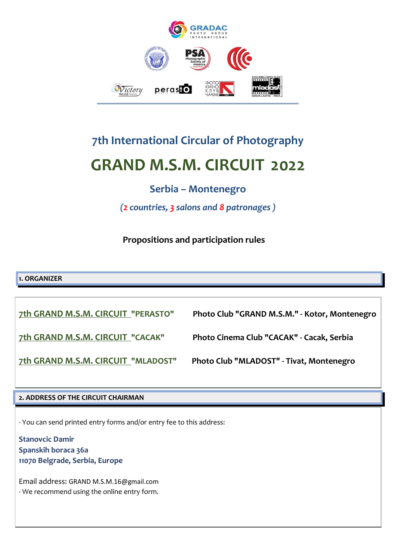

# **7th International Circular of Photography GRAND M.S.M. CIRCUIT 2022**

# **Serbia – Montenegro**

*(2 countries, 3 salons and 8 patronages )*

**Propositions and participation rules**

**1. ORGANIZER**

**7th GRAND M.S.M. CIRCUIT "PERASTO" Photo Club "GRAND M.S.M." - Kotor, Montenegro 7th GRAND M.S.M. CIRCUIT "CACAK" Photo Cinema Club "CACAK" - Cacak, Serbia 7th GRAND M.S.M. CIRCUIT "MLADOST" Photo Club "MLADOST" - Tivat, Montenegro**

## **2. ADDRESS OF THE CIRCUIT CHAIRMAN**

- You can send printed entry forms and/or entry fee to this address:

**Stanovcic Damir Spanskih boraca 36a 11070 Belgrade, Serbia, Europe**

Email address: GRAND M.S.M.16@gmail.com - We recommend using the online entry form.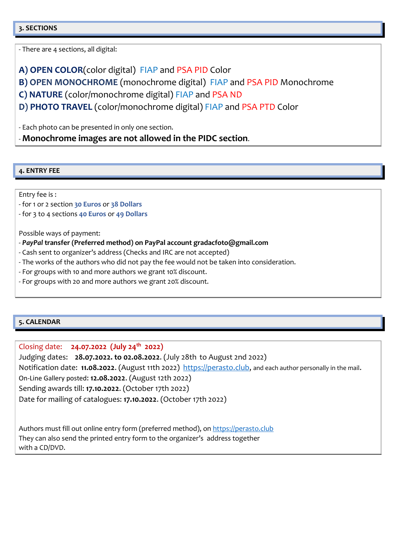#### **3. SECTIONS**

- There are 4 sections, all digital:

**A) OPEN COLOR**(color digital) FIAP and PSA PID Color

**B) OPEN MONOCHROME** (monochrome digital) FIAP and PSA PID Monochrome

**C) NATURE** (color/monochrome digital) FIAP and PSA ND

**D) PHOTO TRAVEL** (color/monochrome digital) FIAP and PSA PTD Color

- Each photo can be presented in only one section.

- **Monochrome images are not allowed in the PIDC section**.

#### **4. ENTRY FEE**

Entry fee is :

- for 1 or 2 section **30 Euros** or **38 Dollars**

- for 3 to 4 sections **40 Euros** or **49 Dollars**

Possible ways of payment:

- *PayPal* **transfer (Preferred method) on PayPal account gradacfoto@gmail.com**
- Cash sent to organizer's address (Checks and IRC are not accepted)
- The works of the authors who did not pay the fee would not be taken into consideration.
- For groups with 10 and more authors we grant 10% discount.
- For groups with 20 and more authors we grant 20% discount.

#### **5. CALENDAR**

Closing date: **24.07.2022 (July 24th 2022)** Judging dates: **28.07.2022. to 02.08.2022**. (July 28th to August 2nd 2022) Notification date: **11.08.2022**. (August 11th 2022) [https://perasto.club,](http://www.gradacfoto.com/smscircuit) and each author personally in the mail. On-Line Gallery posted: **12.08.2022**. (August 12th 2022) Sending awards till: **17.10.2022**. (October 17th 2022) Date for mailing of catalogues: **17.10.2022**. (October 17th 2022)

Authors must fill out online entry form (preferred method), on [https://perasto.club](http://www.gradacfoto.com/smscircuit)  They can also send the printed entry form to the organizer's address together with a CD/DVD.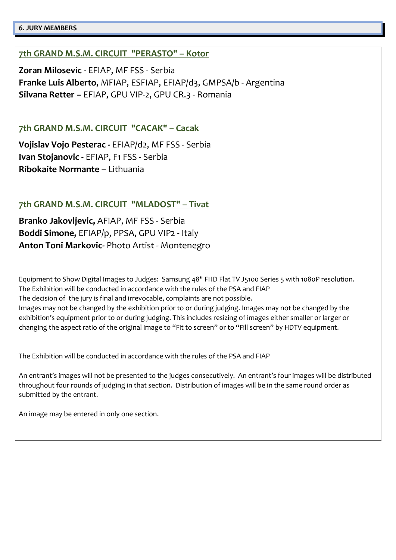#### **6. JURY MEMBERS**

# **7th GRAND M.S.M. CIRCUIT "PERASTO" – Kotor**

**Zoran Milosevic -** EFIAP, MF FSS - Serbia **Franke Luis Alberto,** MFIAP, ESFIAP, EFIAP/d3, GMPSA/b - Argentina **Silvana Retter –** EFIAP, GPU VIP-2, GPU CR.3 - Romania

# **7th GRAND M.S.M. CIRCUIT "CACAK" – Cacak**

**Vojislav Vojo Pesterac -** EFIAP/d2, MF FSS - Serbia **Ivan Stojanovic -** EFIAP, F1 FSS - Serbia **Ribokaite Normante –** Lithuania

# **7th GRAND M.S.M. CIRCUIT "MLADOST" – Tivat**

**Branko Jakovljevic,** AFIAP, MF FSS - Serbia **Boddi Simone,** EFIAP/p, PPSA, GPU VIP2 - Italy **Anton Toni Markovic-** Photo Artist - Montenegro

Equipment to Show Digital Images to Judges: Samsung 48" FHD Flat TV J5100 Series 5 with 1080P resolution. The Exhibition will be conducted in accordance with the rules of the PSA and FIAP The decision of the jury is final and irrevocable, complaints are not possible. Images may not be changed by the exhibition prior to or during judging. Images may not be changed by the exhibition's equipment prior to or during judging. This includes resizing of images either smaller or larger or changing the aspect ratio of the original image to "Fit to screen" or to "Fill screen" by HDTV equipment.

The Exhibition will be conducted in accordance with the rules of the PSA and FIAP

An entrant's images will not be presented to the judges consecutively. An entrant's four images will be distributed throughout four rounds of judging in that section. Distribution of images will be in the same round order as submitted by the entrant.

An image may be entered in only one section.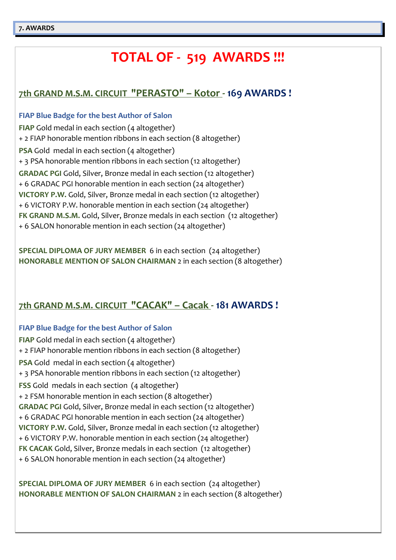# **TOTAL OF - 519 AWARDS !!!**

# **7th GRAND M.S.M. CIRCUIT "PERASTO" – Kotor - 169 AWARDS !**

#### **FIAP Blue Badge for the best Author of Salon**

**FIAP** Gold medal in each section (4 altogether) + 2 FIAP honorable mention ribbons in each section (8 altogether) **PSA** Gold medal in each section (4 altogether) + 3 PSA honorable mention ribbons in each section (12 altogether) **GRADAC PGI** Gold, Silver, Bronze medal in each section (12 altogether) + 6 GRADAC PGI honorable mention in each section (24 altogether) **VICTORY P.W.** Gold, Silver, Bronze medal in each section (12 altogether) + 6 VICTORY P.W. honorable mention in each section (24 altogether) **FK GRAND M.S.M.** Gold, Silver, Bronze medals in each section (12 altogether) + 6 SALON honorable mention in each section (24 altogether)

**SPECIAL DIPLOMA OF JURY MEMBER** 6 in each section (24 altogether) **HONORABLE MENTION OF SALON CHAIRMAN** 2 in each section (8 altogether)

# **7th GRAND M.S.M. CIRCUIT "CACAK" – Cacak - 181 AWARDS !**

### **FIAP Blue Badge for the best Author of Salon**

**FIAP** Gold medal in each section (4 altogether) + 2 FIAP honorable mention ribbons in each section (8 altogether) **PSA** Gold medal in each section (4 altogether) + 3 PSA honorable mention ribbons in each section (12 altogether) **FSS** Gold medals in each section (4 altogether) + 2 FSM honorable mention in each section (8 altogether) **GRADAC PGI** Gold, Silver, Bronze medal in each section (12 altogether) + 6 GRADAC PGI honorable mention in each section (24 altogether) **VICTORY P.W.** Gold, Silver, Bronze medal in each section (12 altogether) + 6 VICTORY P.W. honorable mention in each section (24 altogether) **FK CACAK** Gold, Silver, Bronze medals in each section (12 altogether) + 6 SALON honorable mention in each section (24 altogether)

**SPECIAL DIPLOMA OF JURY MEMBER** 6 in each section (24 altogether) **HONORABLE MENTION OF SALON CHAIRMAN** 2 in each section (8 altogether)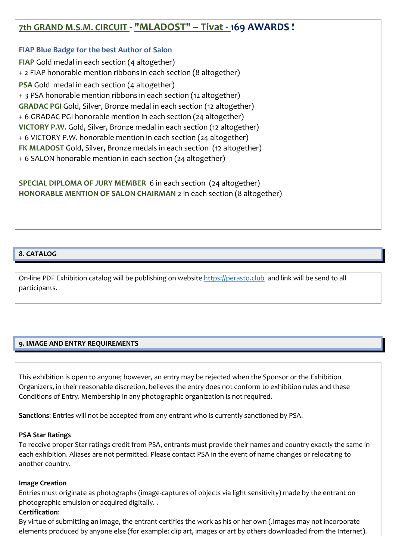# **7th GRAND M.S.M. CIRCUIT - "MLADOST" – Tivat - 169 AWARDS !**

#### **FIAP Blue Badge for the best Author of Salon**

**FIAP** Gold medal in each section (4 altogether) + 2 FIAP honorable mention ribbons in each section (8 altogether) **PSA** Gold medal in each section (4 altogether) + 3 PSA honorable mention ribbons in each section (12 altogether) **GRADAC PGI** Gold, Silver, Bronze medal in each section (12 altogether) + 6 GRADAC PGI honorable mention in each section (24 altogether) **VICTORY P.W.** Gold, Silver, Bronze medal in each section (12 altogether) + 6 VICTORY P.W. honorable mention in each section (24 altogether) **FK MLADOST** Gold, Silver, Bronze medals in each section (12 altogether) + 6 SALON honorable mention in each section (24 altogether)

**SPECIAL DIPLOMA OF JURY MEMBER** 6 in each section (24 altogether) **HONORABLE MENTION OF SALON CHAIRMAN** 2 in each section (8 altogether)

#### **8. CATALOG**

On-line PDF Exhibition catalog will be publishing on websit[e https://perasto.club](http://www.gradacfoto.com/smscircuit) and link will be send to all participants.

#### **9. IMAGE AND ENTRY REQUIREMENTS**

This exhibition is open to anyone; however, an entry may be rejected when the Sponsor or the Exhibition Organizers, in their reasonable discretion, believes the entry does not conform to exhibition rules and these Conditions of Entry. Membership in any photographic organization is not required.

**Sanctions**: Entries will not be accepted from any entrant who is currently sanctioned by PSA.

#### **PSA Star Ratings**

To receive proper Star ratings credit from PSA, entrants must provide their names and country exactly the same in each exhibition. Aliases are not permitted. Please contact PSA in the event of name changes or relocating to another country.

#### **Image Creation**

Entries must originate as photographs (image-captures of objects via light sensitivity) made by the entrant on photographic emulsion or acquired digitally. .

#### **Certification**:

By virtue of submitting an image, the entrant certifies the work as his or her own (.Images may not incorporate elements produced by anyone else (for example: clip art, images or art by others downloaded from the Internet).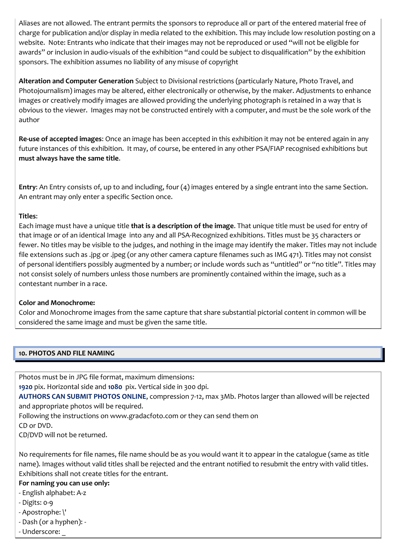Aliases are not allowed. The entrant permits the sponsors to reproduce all or part of the entered material free of charge for publication and/or display in media related to the exhibition. This may include low resolution posting on a website. Note: Entrants who indicate that their images may not be reproduced or used "will not be eligible for awards" or inclusion in audio-visuals of the exhibition "and could be subject to disqualification" by the exhibition sponsors. The exhibition assumes no liability of any misuse of copyright

**Alteration and Computer Generation** Subject to Divisional restrictions (particularly Nature, Photo Travel, and Photojournalism) images may be altered, either electronically or otherwise, by the maker. Adjustments to enhance images or creatively modify images are allowed providing the underlying photograph is retained in a way that is obvious to the viewer. Images may not be constructed entirely with a computer, and must be the sole work of the author

**Re-use of accepted images**: Once an image has been accepted in this exhibition it may not be entered again in any future instances of this exhibition. It may, of course, be entered in any other PSA/FIAP recognised exhibitions but **must always have the same title**.

**Entry**: An Entry consists of, up to and including, four (4) images entered by a single entrant into the same Section. An entrant may only enter a specific Section once.

#### **Titles**:

Each image must have a unique title **that is a description of the image**. That unique title must be used for entry of that image or of an identical Image into any and all PSA-Recognized exhibitions. Titles must be 35 characters or fewer. No titles may be visible to the judges, and nothing in the image may identify the maker. Titles may not include file extensions such as .jpg or .jpeg (or any other camera capture filenames such as IMG 471). Titles may not consist of personal identifiers possibly augmented by a number; or include words such as "untitled" or "no title". Titles may not consist solely of numbers unless those numbers are prominently contained within the image, such as a contestant number in a race.

#### **Color and Monochrome:**

Color and Monochrome images from the same capture that share substantial pictorial content in common will be considered the same image and must be given the same title.

#### **10. PHOTOS AND FILE NAMING**

Photos must be in JPG file format, maximum dimensions:

**1920** pix. Horizontal side and **1080** pix. Vertical side in 300 dpi.

**AUTHORS CAN SUBMIT PHOTOS ONLINE**, compression 7-12, max 3Mb. Photos larger than allowed will be rejected and appropriate photos will be required.

Following the instructions on www.gradacfoto.com or they can send them on

CD or DVD.

CD/DVD will not be returned.

No requirements for file names, file name should be as you would want it to appear in the catalogue (same as title name). Images without valid titles shall be rejected and the entrant notified to resubmit the entry with valid titles. Exhibitions shall not create titles for the entrant.

#### **For naming you can use only:**

- English alphabet: A-z
- Digits: 0-9
- Apostrophe: \'
- Dash (or a hyphen): -
- Underscore: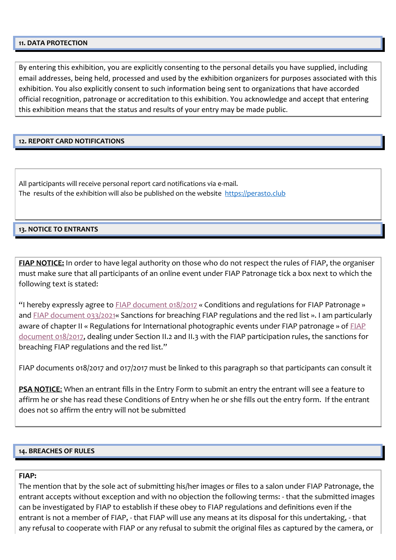#### **11. DATA PROTECTION**

By entering this exhibition, you are explicitly consenting to the personal details you have supplied, including email addresses, being held, processed and used by the exhibition organizers for purposes associated with this exhibition. You also explicitly consent to such information being sent to organizations that have accorded official recognition, patronage or accreditation to this exhibition. You acknowledge and accept that entering this exhibition means that the status and results of your entry may be made public.

#### **12. REPORT CARD NOTIFICATIONS**

All participants will receive personal report card notifications via e-mail. The results of the exhibition will also be published on the website [https://perasto.club](http://www.gradacfoto.com/smscircuit)

#### **13. NOTICE TO ENTRANTS**

**FIAP NOTICE:** In order to have legal authority on those who do not respect the rules of FIAP, the organiser must make sure that all participants of an online event under FIAP Patronage tick a box next to which the following text is stated:

"I hereby expressly agree to  $FIAP$  document 018/2017 « Conditions and regulations for FIAP Patronage » and [FIAP document 033/2021«](https://www.myfiap.net/documents/DOC_033_2021_RedList_EN.pdf) Sanctions for breaching FIAP regulations and the red list ». I am particularly aware of chapter II « Regulations for International photographic events under [FIAP](https://www.myfiap.net/documents/FIAP%20DOC%20018%202017%20E.pdf) patronage » of FIAP [document 018/2017,](https://www.myfiap.net/documents/FIAP%20DOC%20018%202017%20E.pdf) dealing under Section II.2 and II.3 with the FIAP participation rules, the sanctions for breaching FIAP regulations and the red list."

FIAP documents 018/2017 and 017/2017 must be linked to this paragraph so that participants can consult it

**PSA NOTICE:** When an entrant fills in the Entry Form to submit an entry the entrant will see a feature to affirm he or she has read these Conditions of Entry when he or she fills out the entry form. If the entrant does not so affirm the entry will not be submitted

#### **14. BREACHES OF RULES**

#### **FIAP:**

The mention that by the sole act of submitting his/her images or files to a salon under FIAP Patronage, the entrant accepts without exception and with no objection the following terms: - that the submitted images can be investigated by FIAP to establish if these obey to FIAP regulations and definitions even if the entrant is not a member of FIAP, - that FIAP will use any means at its disposal for this undertaking, - that any refusal to cooperate with FIAP or any refusal to submit the original files as captured by the camera, or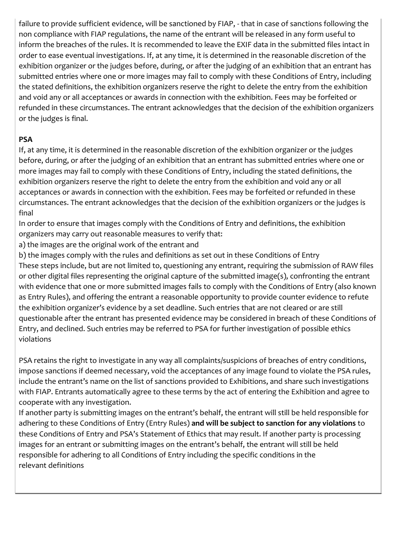failure to provide sufficient evidence, will be sanctioned by FIAP, - that in case of sanctions following the non compliance with FIAP regulations, the name of the entrant will be released in any form useful to inform the breaches of the rules. It is recommended to leave the EXIF data in the submitted files intact in order to ease eventual investigations. If, at any time, it is determined in the reasonable discretion of the exhibition organizer or the judges before, during, or after the judging of an exhibition that an entrant has submitted entries where one or more images may fail to comply with these Conditions of Entry, including the stated definitions, the exhibition organizers reserve the right to delete the entry from the exhibition and void any or all acceptances or awards in connection with the exhibition. Fees may be forfeited or refunded in these circumstances. The entrant acknowledges that the decision of the exhibition organizers or the judges is final.

## **PSA**

If, at any time, it is determined in the reasonable discretion of the exhibition organizer or the judges before, during, or after the judging of an exhibition that an entrant has submitted entries where one or more images may fail to comply with these Conditions of Entry, including the stated definitions, the exhibition organizers reserve the right to delete the entry from the exhibition and void any or all acceptances or awards in connection with the exhibition. Fees may be forfeited or refunded in these circumstances. The entrant acknowledges that the decision of the exhibition organizers or the judges is final

In order to ensure that images comply with the Conditions of Entry and definitions, the exhibition organizers may carry out reasonable measures to verify that:

a) the images are the original work of the entrant and

b) the images comply with the rules and definitions as set out in these Conditions of Entry

These steps include, but are not limited to, questioning any entrant, requiring the submission of RAW files or other digital files representing the original capture of the submitted image(s), confronting the entrant with evidence that one or more submitted images fails to comply with the Conditions of Entry (also known as Entry Rules), and offering the entrant a reasonable opportunity to provide counter evidence to refute the exhibition organizer's evidence by a set deadline. Such entries that are not cleared or are still questionable after the entrant has presented evidence may be considered in breach of these Conditions of Entry, and declined. Such entries may be referred to PSA for further investigation of possible ethics violations

PSA retains the right to investigate in any way all complaints/suspicions of breaches of entry conditions, impose sanctions if deemed necessary, void the acceptances of any image found to violate the PSA rules, include the entrant's name on the list of sanctions provided to Exhibitions, and share such investigations with FIAP. Entrants automatically agree to these terms by the act of entering the Exhibition and agree to cooperate with any investigation.

If another party is submitting images on the entrant's behalf, the entrant will still be held responsible for adhering to these Conditions of Entry (Entry Rules) **and will be subject to sanction for any violations** to these Conditions of Entry and PSA's Statement of Ethics that may result. If another party is processing images for an entrant or submitting images on the entrant's behalf, the entrant will still be held responsible for adhering to all Conditions of Entry including the specific conditions in the relevant definitions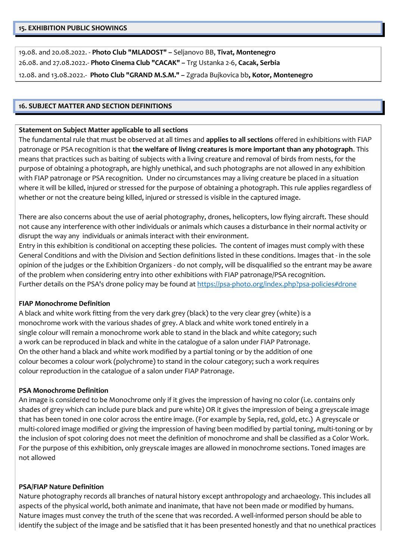19.08. and 20.08.2022. - **Photo Club "MLADOST" –** Seljanovo BB, **Tivat, Montenegro** 26.08. and 27.08.2022.- **Photo Cinema Club "CACAK" –** Trg Ustanka 2-6, **Cacak, Serbia** 12.08. and 13.08.2022.- **Photo Club "GRAND M.S.M." –** Zgrada Bujkovica bb**, Kotor, Montenegro**

#### **16. SUBJECT MATTER AND SECTION DEFINITIONS**

#### **Statement on Subject Matter applicable to all sections**

The fundamental rule that must be observed at all times and **applies to all sections** offered in exhibitions with FIAP patronage or PSA recognition is that **the welfare of living creatures is more important than any photograph**. This means that practices such as baiting of subjects with a living creature and removal of birds from nests, for the purpose of obtaining a photograph, are highly unethical, and such photographs are not allowed in any exhibition with FIAP patronage or PSA recognition. Under no circumstances may a living creature be placed in a situation where it will be killed, injured or stressed for the purpose of obtaining a photograph. This rule applies regardless of whether or not the creature being killed, injured or stressed is visible in the captured image.

There are also concerns about the use of aerial photography, drones, helicopters, low flying aircraft. These should not cause any interference with other individuals or animals which causes a disturbance in their normal activity or disrupt the way any individuals or animals interact with their environment.

Entry in this exhibition is conditional on accepting these policies. The content of images must comply with these General Conditions and with the Division and Section definitions listed in these conditions. Images that - in the sole opinion of the judges or the Exhibition Organizers - do not comply, will be disqualified so the entrant may be aware of the problem when considering entry into other exhibitions with FIAP patronage/PSA recognition. Further details on the PSA's drone policy may be found a[t https://psa-photo.org/index.php?psa-policies#drone](https://psa-photo.org/index.php?psa-policies%23drone)

#### **FIAP Monochrome Definition**

A black and white work fitting from the very dark grey (black) to the very clear grey (white) is a monochrome work with the various shades of grey. A black and white work toned entirely in a single colour will remain a monochrome work able to stand in the black and white category; such a work can be reproduced in black and white in the catalogue of a salon under FIAP Patronage. On the other hand a black and white work modified by a partial toning or by the addition of one colour becomes a colour work (polychrome) to stand in the colour category; such a work requires colour reproduction in the catalogue of a salon under FIAP Patronage.

#### **PSA Monochrome Definition**

An image is considered to be Monochrome only if it gives the impression of having no color (i.e. contains only shades of grey which can include pure black and pure white) OR it gives the impression of being a greyscale image that has been toned in one color across the entire image. (For example by Sepia, red, gold, etc.) A greyscale or multi-colored image modified or giving the impression of having been modified by partial toning, multi-toning or by the inclusion of spot coloring does not meet the definition of monochrome and shall be classified as a Color Work. For the purpose of this exhibition, only greyscale images are allowed in monochrome sections. Toned images are not allowed

#### **PSA/FIAP Nature Definition**

Nature photography records all branches of natural history except anthropology and archaeology. This includes all aspects of the physical world, both animate and inanimate, that have not been made or modified by humans. Nature images must convey the truth of the scene that was recorded. A well-informed person should be able to identify the subject of the image and be satisfied that it has been presented honestly and that no unethical practices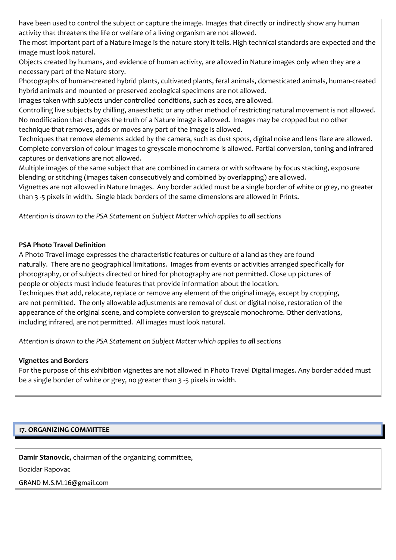have been used to control the subject or capture the image. Images that directly or indirectly show any human activity that threatens the life or welfare of a living organism are not allowed.

The most important part of a Nature image is the nature story it tells. High technical standards are expected and the image must look natural.

Objects created by humans, and evidence of human activity, are allowed in Nature images only when they are a necessary part of the Nature story.

Photographs of human-created hybrid plants, cultivated plants, feral animals, domesticated animals, human-created hybrid animals and mounted or preserved zoological specimens are not allowed.

Images taken with subjects under controlled conditions, such as zoos, are allowed.

Controlling live subjects by chilling, anaesthetic or any other method of restricting natural movement is not allowed. No modification that changes the truth of a Nature image is allowed. Images may be cropped but no other technique that removes, adds or moves any part of the image is allowed.

Techniques that remove elements added by the camera, such as dust spots, digital noise and lens flare are allowed. Complete conversion of colour images to greyscale monochrome is allowed. Partial conversion, toning and infrared captures or derivations are not allowed.

Multiple images of the same subject that are combined in camera or with software by focus stacking, exposure blending or stitching (images taken consecutively and combined by overlapping) are allowed.

Vignettes are not allowed in Nature Images. Any border added must be a single border of white or grey, no greater than 3 -5 pixels in width. Single black borders of the same dimensions are allowed in Prints.

*Attention is drawn to the PSA Statement on Subject Matter which applies to all sections*

#### **PSA Photo Travel Definition**

A Photo Travel image expresses the characteristic features or culture of a land as they are found naturally. There are no geographical limitations. Images from events or activities arranged specifically for photography, or of subjects directed or hired for photography are not permitted. Close up pictures of people or objects must include features that provide information about the location. Techniques that add, relocate, replace or remove any element of the original image, except by cropping, are not permitted. The only allowable adjustments are removal of dust or digital noise, restoration of the appearance of the original scene, and complete conversion to greyscale monochrome. Other derivations, including infrared, are not permitted. All images must look natural.

*Attention is drawn to the PSA Statement on Subject Matter which applies to all sections*

### **Vignettes and Borders**

For the purpose of this exhibition vignettes are not allowed in Photo Travel Digital images. Any border added must be a single border of white or grey, no greater than 3 -5 pixels in width.

### **17. ORGANIZING COMMITTEE**

**Damir Stanovcic**, chairman of the organizing committee,

Bozidar Rapovac

GRAND M.S.M.16@gmail.com